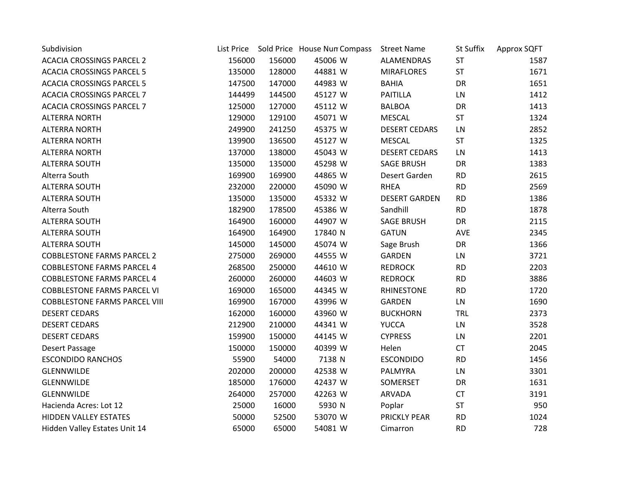| Subdivision                          |        |        | List Price Sold Price House Nun Compass | <b>Street Name</b>   | <b>St Suffix</b> | Approx SQFT |
|--------------------------------------|--------|--------|-----------------------------------------|----------------------|------------------|-------------|
| <b>ACACIA CROSSINGS PARCEL 2</b>     | 156000 | 156000 | 45006 W                                 | ALAMENDRAS           | <b>ST</b>        | 1587        |
| <b>ACACIA CROSSINGS PARCEL 5</b>     | 135000 | 128000 | 44881 W                                 | <b>MIRAFLORES</b>    | <b>ST</b>        | 1671        |
| <b>ACACIA CROSSINGS PARCEL 5</b>     | 147500 | 147000 | 44983 W                                 | <b>BAHIA</b>         | DR               | 1651        |
| <b>ACACIA CROSSINGS PARCEL 7</b>     | 144499 | 144500 | 45127 W                                 | <b>PAITILLA</b>      | LN               | 1412        |
| <b>ACACIA CROSSINGS PARCEL 7</b>     | 125000 | 127000 | 45112 W                                 | <b>BALBOA</b>        | DR               | 1413        |
| <b>ALTERRA NORTH</b>                 | 129000 | 129100 | 45071 W                                 | <b>MESCAL</b>        | ST               | 1324        |
| <b>ALTERRA NORTH</b>                 | 249900 | 241250 | 45375 W                                 | <b>DESERT CEDARS</b> | LN               | 2852        |
| <b>ALTERRA NORTH</b>                 | 139900 | 136500 | 45127 W                                 | <b>MESCAL</b>        | ST               | 1325        |
| <b>ALTERRA NORTH</b>                 | 137000 | 138000 | 45043 W                                 | <b>DESERT CEDARS</b> | LN               | 1413        |
| <b>ALTERRA SOUTH</b>                 | 135000 | 135000 | 45298 W                                 | <b>SAGE BRUSH</b>    | DR               | 1383        |
| Alterra South                        | 169900 | 169900 | 44865 W                                 | Desert Garden        | <b>RD</b>        | 2615        |
| <b>ALTERRA SOUTH</b>                 | 232000 | 220000 | 45090 W                                 | <b>RHEA</b>          | <b>RD</b>        | 2569        |
| <b>ALTERRA SOUTH</b>                 | 135000 | 135000 | 45332 W                                 | <b>DESERT GARDEN</b> | <b>RD</b>        | 1386        |
| Alterra South                        | 182900 | 178500 | 45386 W                                 | Sandhill             | <b>RD</b>        | 1878        |
| <b>ALTERRA SOUTH</b>                 | 164900 | 160000 | 44907 W                                 | <b>SAGE BRUSH</b>    | DR               | 2115        |
| <b>ALTERRA SOUTH</b>                 | 164900 | 164900 | 17840 N                                 | <b>GATUN</b>         | AVE              | 2345        |
| <b>ALTERRA SOUTH</b>                 | 145000 | 145000 | 45074 W                                 | Sage Brush           | DR               | 1366        |
| <b>COBBLESTONE FARMS PARCEL 2</b>    | 275000 | 269000 | 44555 W                                 | <b>GARDEN</b>        | LN               | 3721        |
| <b>COBBLESTONE FARMS PARCEL 4</b>    | 268500 | 250000 | 44610 W                                 | <b>REDROCK</b>       | <b>RD</b>        | 2203        |
| <b>COBBLESTONE FARMS PARCEL 4</b>    | 260000 | 260000 | 44603 W                                 | <b>REDROCK</b>       | <b>RD</b>        | 3886        |
| <b>COBBLESTONE FARMS PARCEL VI</b>   | 169000 | 165000 | 44345 W                                 | <b>RHINESTONE</b>    | <b>RD</b>        | 1720        |
| <b>COBBLESTONE FARMS PARCEL VIII</b> | 169900 | 167000 | 43996 W                                 | <b>GARDEN</b>        | LN               | 1690        |
| <b>DESERT CEDARS</b>                 | 162000 | 160000 | 43960 W                                 | <b>BUCKHORN</b>      | <b>TRL</b>       | 2373        |
| <b>DESERT CEDARS</b>                 | 212900 | 210000 | 44341 W                                 | <b>YUCCA</b>         | LN               | 3528        |
| <b>DESERT CEDARS</b>                 | 159900 | 150000 | 44145 W                                 | <b>CYPRESS</b>       | LN               | 2201        |
| Desert Passage                       | 150000 | 150000 | 40399 W                                 | Helen                | <b>CT</b>        | 2045        |
| <b>ESCONDIDO RANCHOS</b>             | 55900  | 54000  | 7138 N                                  | <b>ESCONDIDO</b>     | <b>RD</b>        | 1456        |
| <b>GLENNWILDE</b>                    | 202000 | 200000 | 42538 W                                 | PALMYRA              | LN               | 3301        |
| <b>GLENNWILDE</b>                    | 185000 | 176000 | 42437 W                                 | SOMERSET             | DR               | 1631        |
| GLENNWILDE                           | 264000 | 257000 | 42263 W                                 | ARVADA               | <b>CT</b>        | 3191        |
| Hacienda Acres: Lot 12               | 25000  | 16000  | 5930 N                                  | Poplar               | ST               | 950         |
| HIDDEN VALLEY ESTATES                | 50000  | 52500  | 53070 W                                 | <b>PRICKLY PEAR</b>  | <b>RD</b>        | 1024        |
| Hidden Valley Estates Unit 14        | 65000  | 65000  | 54081 W                                 | Cimarron             | <b>RD</b>        | 728         |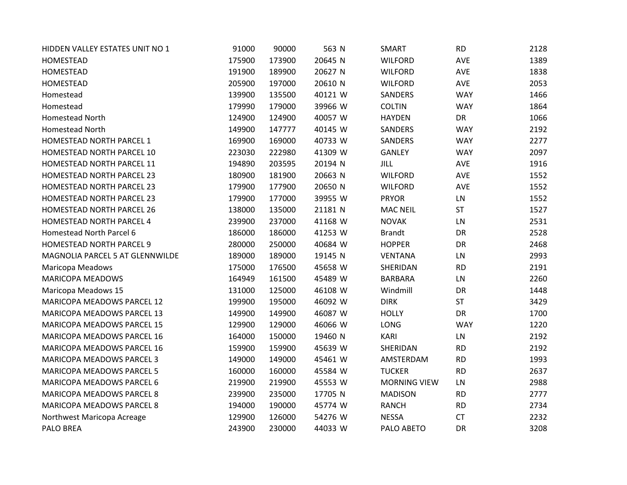| HIDDEN VALLEY ESTATES UNIT NO 1   | 91000  | 90000  | 563 N   | SMART               | <b>RD</b>  | 2128 |
|-----------------------------------|--------|--------|---------|---------------------|------------|------|
| <b>HOMESTEAD</b>                  | 175900 | 173900 | 20645 N | <b>WILFORD</b>      | AVE        | 1389 |
| <b>HOMESTEAD</b>                  | 191900 | 189900 | 20627 N | <b>WILFORD</b>      | <b>AVE</b> | 1838 |
| <b>HOMESTEAD</b>                  | 205900 | 197000 | 20610 N | <b>WILFORD</b>      | AVE        | 2053 |
| Homestead                         | 139900 | 135500 | 40121 W | SANDERS             | <b>WAY</b> | 1466 |
| Homestead                         | 179990 | 179000 | 39966 W | <b>COLTIN</b>       | <b>WAY</b> | 1864 |
| Homestead North                   | 124900 | 124900 | 40057 W | <b>HAYDEN</b>       | <b>DR</b>  | 1066 |
| Homestead North                   | 149900 | 147777 | 40145 W | SANDERS             | <b>WAY</b> | 2192 |
| HOMESTEAD NORTH PARCEL 1          | 169900 | 169000 | 40733 W | SANDERS             | <b>WAY</b> | 2277 |
| HOMESTEAD NORTH PARCEL 10         | 223030 | 222980 | 41309 W | <b>GANLEY</b>       | <b>WAY</b> | 2097 |
| HOMESTEAD NORTH PARCEL 11         | 194890 | 203595 | 20194 N | <b>JILL</b>         | <b>AVE</b> | 1916 |
| HOMESTEAD NORTH PARCEL 23         | 180900 | 181900 | 20663 N | <b>WILFORD</b>      | AVE        | 1552 |
| HOMESTEAD NORTH PARCEL 23         | 179900 | 177900 | 20650 N | <b>WILFORD</b>      | AVE        | 1552 |
| HOMESTEAD NORTH PARCEL 23         | 179900 | 177000 | 39955 W | <b>PRYOR</b>        | LN         | 1552 |
| HOMESTEAD NORTH PARCEL 26         | 138000 | 135000 | 21181 N | <b>MAC NEIL</b>     | <b>ST</b>  | 1527 |
| HOMESTEAD NORTH PARCEL 4          | 239900 | 237000 | 41168 W | <b>NOVAK</b>        | LN         | 2531 |
| Homestead North Parcel 6          | 186000 | 186000 | 41253 W | <b>Brandt</b>       | DR         | 2528 |
| HOMESTEAD NORTH PARCEL 9          | 280000 | 250000 | 40684 W | <b>HOPPER</b>       | DR         | 2468 |
| MAGNOLIA PARCEL 5 AT GLENNWILDE   | 189000 | 189000 | 19145 N | <b>VENTANA</b>      | LN         | 2993 |
| Maricopa Meadows                  | 175000 | 176500 | 45658 W | SHERIDAN            | <b>RD</b>  | 2191 |
| <b>MARICOPA MEADOWS</b>           | 164949 | 161500 | 45489 W | <b>BARBARA</b>      | LN         | 2260 |
| Maricopa Meadows 15               | 131000 | 125000 | 46108 W | Windmill            | <b>DR</b>  | 1448 |
| MARICOPA MEADOWS PARCEL 12        | 199900 | 195000 | 46092 W | <b>DIRK</b>         | <b>ST</b>  | 3429 |
| MARICOPA MEADOWS PARCEL 13        | 149900 | 149900 | 46087 W | <b>HOLLY</b>        | <b>DR</b>  | 1700 |
| <b>MARICOPA MEADOWS PARCEL 15</b> | 129900 | 129000 | 46066 W | <b>LONG</b>         | <b>WAY</b> | 1220 |
| MARICOPA MEADOWS PARCEL 16        | 164000 | 150000 | 19460 N | KARI                | LN         | 2192 |
| MARICOPA MEADOWS PARCEL 16        | 159900 | 159900 | 45639 W | SHERIDAN            | <b>RD</b>  | 2192 |
| MARICOPA MEADOWS PARCEL 3         | 149000 | 149000 | 45461 W | AMSTERDAM           | <b>RD</b>  | 1993 |
| MARICOPA MEADOWS PARCEL 5         | 160000 | 160000 | 45584 W | <b>TUCKER</b>       | <b>RD</b>  | 2637 |
| MARICOPA MEADOWS PARCEL 6         | 219900 | 219900 | 45553 W | <b>MORNING VIEW</b> | LN         | 2988 |
| MARICOPA MEADOWS PARCEL 8         | 239900 | 235000 | 17705 N | <b>MADISON</b>      | <b>RD</b>  | 2777 |
| <b>MARICOPA MEADOWS PARCEL 8</b>  | 194000 | 190000 | 45774 W | <b>RANCH</b>        | <b>RD</b>  | 2734 |
| Northwest Maricopa Acreage        | 129900 | 126000 | 54276 W | <b>NESSA</b>        | <b>CT</b>  | 2232 |
| PALO BREA                         | 243900 | 230000 | 44033 W | PALO ABETO          | <b>DR</b>  | 3208 |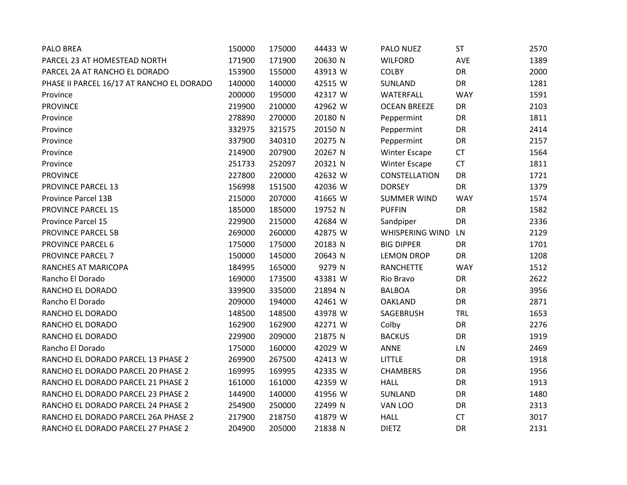| <b>PALO BREA</b>                          | 150000 | 175000 | 44433 W | PALO NUEZ              | <b>ST</b>  | 2570 |
|-------------------------------------------|--------|--------|---------|------------------------|------------|------|
| PARCEL 23 AT HOMESTEAD NORTH              | 171900 | 171900 | 20630 N | <b>WILFORD</b>         | AVE        | 1389 |
| PARCEL 2A AT RANCHO EL DORADO             | 153900 | 155000 | 43913 W | <b>COLBY</b>           | DR         | 2000 |
| PHASE II PARCEL 16/17 AT RANCHO EL DORADO | 140000 | 140000 | 42515 W | SUNLAND                | <b>DR</b>  | 1281 |
| Province                                  | 200000 | 195000 | 42317 W | WATERFALL              | <b>WAY</b> | 1591 |
| <b>PROVINCE</b>                           | 219900 | 210000 | 42962 W | <b>OCEAN BREEZE</b>    | DR         | 2103 |
| Province                                  | 278890 | 270000 | 20180 N | Peppermint             | DR         | 1811 |
| Province                                  | 332975 | 321575 | 20150 N | Peppermint             | DR         | 2414 |
| Province                                  | 337900 | 340310 | 20275 N | Peppermint             | DR         | 2157 |
| Province                                  | 214900 | 207900 | 20267 N | <b>Winter Escape</b>   | <b>CT</b>  | 1564 |
| Province                                  | 251733 | 252097 | 20321 N | <b>Winter Escape</b>   | <b>CT</b>  | 1811 |
| <b>PROVINCE</b>                           | 227800 | 220000 | 42632 W | CONSTELLATION          | DR         | 1721 |
| <b>PROVINCE PARCEL 13</b>                 | 156998 | 151500 | 42036 W | <b>DORSEY</b>          | DR         | 1379 |
| Province Parcel 13B                       | 215000 | 207000 | 41665 W | <b>SUMMER WIND</b>     | <b>WAY</b> | 1574 |
| <b>PROVINCE PARCEL 15</b>                 | 185000 | 185000 | 19752 N | <b>PUFFIN</b>          | DR         | 1582 |
| Province Parcel 15                        | 229900 | 215000 | 42684 W | Sandpiper              | DR         | 2336 |
| <b>PROVINCE PARCEL 5B</b>                 | 269000 | 260000 | 42875 W | <b>WHISPERING WIND</b> | LN         | 2129 |
| PROVINCE PARCEL 6                         | 175000 | 175000 | 20183 N | <b>BIG DIPPER</b>      | DR         | 1701 |
| <b>PROVINCE PARCEL 7</b>                  | 150000 | 145000 | 20643 N | <b>LEMON DROP</b>      | <b>DR</b>  | 1208 |
| RANCHES AT MARICOPA                       | 184995 | 165000 | 9279 N  | <b>RANCHETTE</b>       | <b>WAY</b> | 1512 |
| Rancho El Dorado                          | 169000 | 173500 | 43381 W | Rio Bravo              | DR         | 2622 |
| RANCHO EL DORADO                          | 339900 | 335000 | 21894 N | <b>BALBOA</b>          | DR         | 3956 |
| Rancho El Dorado                          | 209000 | 194000 | 42461 W | <b>OAKLAND</b>         | DR         | 2871 |
| RANCHO EL DORADO                          | 148500 | 148500 | 43978 W | SAGEBRUSH              | <b>TRL</b> | 1653 |
| RANCHO EL DORADO                          | 162900 | 162900 | 42271 W | Colby                  | DR         | 2276 |
| RANCHO EL DORADO                          | 229900 | 209000 | 21875 N | <b>BACKUS</b>          | DR         | 1919 |
| Rancho El Dorado                          | 175000 | 160000 | 42029 W | <b>ANNE</b>            | ${\sf LN}$ | 2469 |
| RANCHO EL DORADO PARCEL 13 PHASE 2        | 269900 | 267500 | 42413 W | <b>LITTLE</b>          | DR         | 1918 |
| RANCHO EL DORADO PARCEL 20 PHASE 2        | 169995 | 169995 | 42335 W | <b>CHAMBERS</b>        | DR         | 1956 |
| RANCHO EL DORADO PARCEL 21 PHASE 2        | 161000 | 161000 | 42359 W | <b>HALL</b>            | DR         | 1913 |
| RANCHO EL DORADO PARCEL 23 PHASE 2        | 144900 | 140000 | 41956 W | SUNLAND                | DR         | 1480 |
| RANCHO EL DORADO PARCEL 24 PHASE 2        | 254900 | 250000 | 22499 N | VAN LOO                | DR         | 2313 |
| RANCHO EL DORADO PARCEL 26A PHASE 2       | 217900 | 218750 | 41879 W | <b>HALL</b>            | <b>CT</b>  | 3017 |
| RANCHO EL DORADO PARCEL 27 PHASE 2        | 204900 | 205000 | 21838 N | <b>DIETZ</b>           | DR         | 2131 |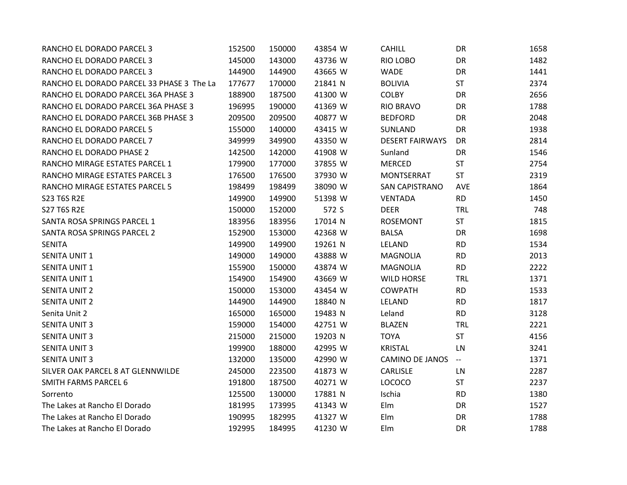| RANCHO EL DORADO PARCEL 3                 | 152500 | 150000 | 43854 W | <b>CAHILL</b>          | <b>DR</b>         | 1658 |
|-------------------------------------------|--------|--------|---------|------------------------|-------------------|------|
| RANCHO EL DORADO PARCEL 3                 | 145000 | 143000 | 43736 W | RIO LOBO               | DR                | 1482 |
| RANCHO EL DORADO PARCEL 3                 | 144900 | 144900 | 43665 W | <b>WADE</b>            | DR                | 1441 |
| RANCHO EL DORADO PARCEL 33 PHASE 3 The La | 177677 | 170000 | 21841 N | <b>BOLIVIA</b>         | <b>ST</b>         | 2374 |
| RANCHO EL DORADO PARCEL 36A PHASE 3       | 188900 | 187500 | 41300 W | <b>COLBY</b>           | DR                | 2656 |
| RANCHO EL DORADO PARCEL 36A PHASE 3       | 196995 | 190000 | 41369 W | <b>RIO BRAVO</b>       | DR                | 1788 |
| RANCHO EL DORADO PARCEL 36B PHASE 3       | 209500 | 209500 | 40877 W | <b>BEDFORD</b>         | DR                | 2048 |
| RANCHO EL DORADO PARCEL 5                 | 155000 | 140000 | 43415 W | SUNLAND                | DR                | 1938 |
| RANCHO EL DORADO PARCEL 7                 | 349999 | 349900 | 43350 W | <b>DESERT FAIRWAYS</b> | DR                | 2814 |
| RANCHO EL DORADO PHASE 2                  | 142500 | 142000 | 41908 W | Sunland                | DR                | 1546 |
| RANCHO MIRAGE ESTATES PARCEL 1            | 179900 | 177000 | 37855 W | <b>MERCED</b>          | <b>ST</b>         | 2754 |
| RANCHO MIRAGE ESTATES PARCEL 3            | 176500 | 176500 | 37930 W | <b>MONTSERRAT</b>      | <b>ST</b>         | 2319 |
| RANCHO MIRAGE ESTATES PARCEL 5            | 198499 | 198499 | 38090 W | <b>SAN CAPISTRANO</b>  | AVE               | 1864 |
| S23 T6S R2E                               | 149900 | 149900 | 51398 W | <b>VENTADA</b>         | <b>RD</b>         | 1450 |
| <b>S27 T6S R2E</b>                        | 150000 | 152000 | 572 S   | <b>DEER</b>            | <b>TRL</b>        | 748  |
| SANTA ROSA SPRINGS PARCEL 1               | 183956 | 183956 | 17014 N | <b>ROSEMONT</b>        | <b>ST</b>         | 1815 |
| SANTA ROSA SPRINGS PARCEL 2               | 152900 | 153000 | 42368 W | <b>BALSA</b>           | <b>DR</b>         | 1698 |
| <b>SENITA</b>                             | 149900 | 149900 | 19261 N | LELAND                 | <b>RD</b>         | 1534 |
| <b>SENITA UNIT 1</b>                      | 149000 | 149000 | 43888 W | <b>MAGNOLIA</b>        | <b>RD</b>         | 2013 |
| <b>SENITA UNIT 1</b>                      | 155900 | 150000 | 43874 W | <b>MAGNOLIA</b>        | <b>RD</b>         | 2222 |
| <b>SENITA UNIT 1</b>                      | 154900 | 154900 | 43669 W | <b>WILD HORSE</b>      | <b>TRL</b>        | 1371 |
| <b>SENITA UNIT 2</b>                      | 150000 | 153000 | 43454 W | <b>COWPATH</b>         | <b>RD</b>         | 1533 |
| <b>SENITA UNIT 2</b>                      | 144900 | 144900 | 18840 N | LELAND                 | <b>RD</b>         | 1817 |
| Senita Unit 2                             | 165000 | 165000 | 19483 N | Leland                 | <b>RD</b>         | 3128 |
| <b>SENITA UNIT 3</b>                      | 159000 | 154000 | 42751 W | <b>BLAZEN</b>          | <b>TRL</b>        | 2221 |
| <b>SENITA UNIT 3</b>                      | 215000 | 215000 | 19203 N | <b>TOYA</b>            | <b>ST</b>         | 4156 |
| <b>SENITA UNIT 3</b>                      | 199900 | 188000 | 42995 W | <b>KRISTAL</b>         | LN                | 3241 |
| <b>SENITA UNIT 3</b>                      | 132000 | 135000 | 42990 W | CAMINO DE JANOS        | $\rightarrowtail$ | 1371 |
| SILVER OAK PARCEL 8 AT GLENNWILDE         | 245000 | 223500 | 41873 W | <b>CARLISLE</b>        | LN                | 2287 |
| <b>SMITH FARMS PARCEL 6</b>               | 191800 | 187500 | 40271 W | <b>LOCOCO</b>          | ST                | 2237 |
| Sorrento                                  | 125500 | 130000 | 17881 N | Ischia                 | <b>RD</b>         | 1380 |
| The Lakes at Rancho El Dorado             | 181995 | 173995 | 41343 W | Elm                    | DR                | 1527 |
| The Lakes at Rancho El Dorado             | 190995 | 182995 | 41327 W | Elm                    | DR                | 1788 |
| The Lakes at Rancho El Dorado             | 192995 | 184995 | 41230 W | Elm                    | <b>DR</b>         | 1788 |